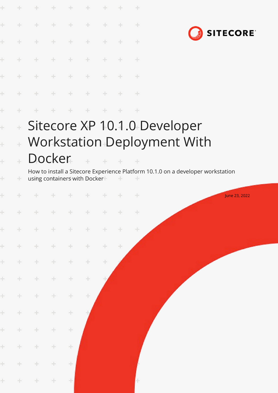|       |                                                                                      | ÷                                                              |        | ÷               | ÷                            |                             |               | ÷                                                                                    |  |  |  |                 |  |
|-------|--------------------------------------------------------------------------------------|----------------------------------------------------------------|--------|-----------------|------------------------------|-----------------------------|---------------|--------------------------------------------------------------------------------------|--|--|--|-----------------|--|
| ÷     |                                                                                      | $\div$                                                         | ÷      | $\frac{1}{2}$   | ÷                            |                             |               | ÷                                                                                    |  |  |  |                 |  |
|       |                                                                                      | ÷                                                              | ÷      | ÷               |                              |                             |               | ÷                                                                                    |  |  |  | <b>SITECORE</b> |  |
| ł     |                                                                                      | ÷                                                              |        | ÷               | $+$                          |                             |               | ÷                                                                                    |  |  |  |                 |  |
| ł     |                                                                                      | $\frac{1}{2}$                                                  | $+$    | $\frac{1}{2}$ . | $\pm$                        |                             |               | ÷                                                                                    |  |  |  |                 |  |
| ł     |                                                                                      | $\rightarrow$                                                  | $+$    | $\rightarrow$   | $\frac{1}{2}$                | ÷                           | $\frac{1}{2}$ | ÷                                                                                    |  |  |  |                 |  |
| ł     | ÷                                                                                    |                                                                | ÷      | ÷               | $+$                          | $+$                         | $+$           | $+$                                                                                  |  |  |  |                 |  |
| ł     | $\pm$                                                                                |                                                                |        |                 |                              |                             |               | Sitecore XP 10.1.0 Developer                                                         |  |  |  |                 |  |
| ł     | ÷                                                                                    | Workstation Deployment With                                    |        |                 |                              |                             |               |                                                                                      |  |  |  |                 |  |
| ÷     |                                                                                      | Docker                                                         |        |                 |                              | $\mathcal{A}_{\mathcal{C}}$ |               |                                                                                      |  |  |  |                 |  |
| ÷     | ÷                                                                                    |                                                                |        |                 | using containers with Docker |                             | ÷             | How to install a Sitecore Experience Platform 10.1.0 on a developer workstation<br>÷ |  |  |  |                 |  |
| ÷     |                                                                                      |                                                                |        | ÷.              | $\rightarrow$                | -                           |               | ÷                                                                                    |  |  |  | June 23, 2022   |  |
|       | ÷.                                                                                   | $\begin{array}{ccccccccccccccccc} + & & & + & & & \end{array}$ |        | $+$             | $+$                          | $+$                         | $+$           | $+$                                                                                  |  |  |  |                 |  |
| $\pm$ | $\pm$                                                                                | $+$                                                            | ÷.     | $\pm$           | $+$                          | ÷                           | ÷             | ÷                                                                                    |  |  |  |                 |  |
| $+$   | $\frac{1}{2} \sum_{i=1}^n \left( \frac{1}{2} \right)^2 \left( \frac{1}{2} \right)^2$ | $+$                                                            | $+$    | ÷               | ÷                            | ÷                           | $\pm$         |                                                                                      |  |  |  |                 |  |
| $\pm$ | $+$                                                                                  | $+$                                                            | $\div$ | ÷               | ÷.                           | ÷                           |               |                                                                                      |  |  |  |                 |  |
| ÷.    | $\div$                                                                               | $\div$                                                         | $\div$ | $\div$          | $\div$                       |                             |               |                                                                                      |  |  |  |                 |  |
| $\pm$ | $\pm$                                                                                | $\div$                                                         | ÷      | ÷               | ÷                            |                             |               |                                                                                      |  |  |  |                 |  |
| $\pm$ | $\div$                                                                               | $\div$                                                         | ÷      | $\div$          |                              |                             |               |                                                                                      |  |  |  |                 |  |
| $\pm$ | $\div$                                                                               | $\pm$                                                          | ÷.     | $\div$          |                              |                             |               |                                                                                      |  |  |  |                 |  |
| ÷.    | $\pm$                                                                                | $\pm$                                                          | ÷      | ÷               |                              |                             |               |                                                                                      |  |  |  |                 |  |
| ÷.    | ÷                                                                                    | ÷                                                              | ÷      | ÷               |                              |                             |               |                                                                                      |  |  |  |                 |  |
| ÷.    | $+$                                                                                  | ÷                                                              | ÷      | ÷               |                              |                             |               |                                                                                      |  |  |  |                 |  |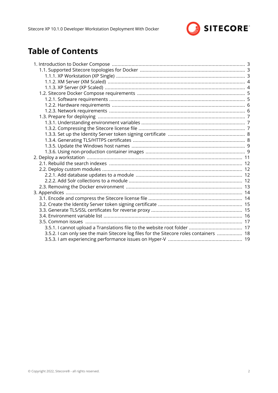

# **Table of Contents**

| 3.5.2. I can only see the main Sitecore log files for the Sitecore roles containers  18 |  |
|-----------------------------------------------------------------------------------------|--|
|                                                                                         |  |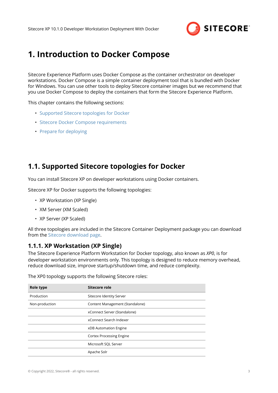

# <span id="page-2-0"></span>**1. Introduction to Docker Compose**

Sitecore Experience Platform uses Docker Compose as the container orchestrator on developer workstations. Docker Compose is a simple container deployment tool that is bundled with Docker for Windows. You can use other tools to deploy Sitecore container images but we recommend that you use Docker Compose to deploy the containers that form the Sitecore Experience Platform.

This chapter contains the following sections:

- Supported Sitecore topologies for Docker
- [Sitecore Docker Compose requirements](#page-4-0)
- [Prepare for deploying](#page-6-0)

# **1.1. Supported Sitecore topologies for Docker**

You can install Sitecore XP on developer workstations using Docker containers.

Sitecore XP for Docker supports the following topologies:

- XP Workstation (XP Single)
- XM Server (XM Scaled)
- XP Server (XP Scaled)

All three topologies are included in the Sitecore Container Deployment package you can download from the [Sitecore download page](https://dev.sitecore.net/Downloads/Sitecore_Experience_Platform.aspx).

### **1.1.1. XP Workstation (XP Single)**

The Sitecore Experience Platform Workstation for Docker topology, also known as *XP0*, is for developer workstation environments only. This topology is designed to reduce memory overhead, reduce download size, improve startup/shutdown time, and reduce complexity.

| Role type      | Sitecore role                   |
|----------------|---------------------------------|
| Production     | Sitecore Identity Server        |
| Non-production | Content Management (Standalone) |
|                | xConnect Server (Standalone)    |
|                | xConnect Search Indexer         |
|                | xDB Automation Engine           |
|                | <b>Cortex Processing Engine</b> |
|                | Microsoft SQL Server            |
|                | Apache Solr                     |

The XP0 topology supports the following Sitecore roles: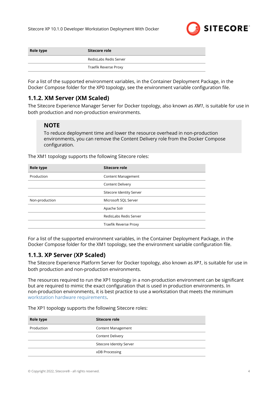

<span id="page-3-0"></span>

| Role type | Sitecore role          |
|-----------|------------------------|
|           | RedisLabs Redis Server |
|           | Traefik Reverse Proxy  |

For a list of the supported environment variables, in the Container Deployment Package, in the Docker Compose folder for the XP0 topology, see the environment variable configuration file.

## **1.1.2. XM Server (XM Scaled)**

The Sitecore Experience Manager Server for Docker topology, also known as *XM1*, is suitable for use in both production and non-production environments.

### **NOTE**

To reduce deployment time and lower the resource overhead in non-production environments, you can remove the Content Delivery role from the Docker Compose configuration.

The XM1 topology supports the following Sitecore roles:

| Role type      | Sitecore role             |
|----------------|---------------------------|
| Production     | <b>Content Management</b> |
|                | <b>Content Delivery</b>   |
|                | Sitecore Identity Server  |
| Non-production | Microsoft SQL Server      |
|                | Apache Solr               |
|                | RedisLabs Redis Server    |
|                | Traefik Reverse Proxy     |

For a list of the supported environment variables, in the Container Deployment Package, in the Docker Compose folder for the XM1 topology, see the environment variable configuration file.

## **1.1.3. XP Server (XP Scaled)**

The Sitecore Experience Platform Server for Docker topology, also known as *XP1*, is suitable for use in both production and non-production environments.

The resources required to run the XP1 topology in a non-production environment can be significant but are required to mimic the exact configuration that is used in production environments. In non-production environments, it is best practice to use a workstation that meets the minimum [workstation hardware requirements.](#page-5-0)

The XP1 topology supports the following Sitecore roles:

| Role type  | Sitecore role             |
|------------|---------------------------|
| Production | <b>Content Management</b> |
|            | <b>Content Delivery</b>   |
|            | Sitecore Identity Server  |
|            | xDB Processing            |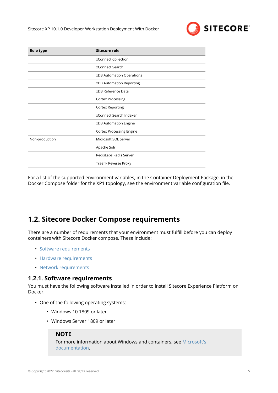

<span id="page-4-0"></span>

| Role type      | <b>Sitecore role</b>            |
|----------------|---------------------------------|
|                | xConnect Collection             |
|                | xConnect Search                 |
|                | xDB Automation Operations       |
|                | xDB Automation Reporting        |
|                | xDB Reference Data              |
|                | <b>Cortex Processing</b>        |
|                | <b>Cortex Reporting</b>         |
|                | xConnect Search Indexer         |
|                | xDB Automation Engine           |
|                | <b>Cortex Processing Engine</b> |
| Non-production | Microsoft SQL Server            |
|                | Apache Solr                     |
|                | RedisLabs Redis Server          |
|                | Traefik Reverse Proxy           |

For a list of the supported environment variables, in the Container Deployment Package, in the Docker Compose folder for the XP1 topology, see the environment variable configuration file.

# **1.2. Sitecore Docker Compose requirements**

There are a number of requirements that your environment must fulfill before you can deploy containers with Sitecore Docker compose. These include:

- Software requirements
- [Hardware requirements](#page-5-0)
- [Network requirements](#page-5-0)

### **1.2.1. Software requirements**

You must have the following software installed in order to install Sitecore Experience Platform on Docker:

- One of the following operating systems:
	- Windows 10 1809 or later
	- Windows Server 1809 or later

### **NOTE**

For more information about Windows and containers, see [Microsoft's](https://docs.microsoft.com/en-us/virtualization/windowscontainers/about/) [documentation](https://docs.microsoft.com/en-us/virtualization/windowscontainers/about/).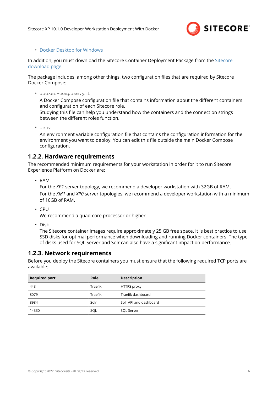

#### <span id="page-5-0"></span>• [Docker Desktop for Windows](https://docs.docker.com/docker-for-windows/install/)

In addition, you must download the Sitecore Container Deployment Package from the [Sitecore](https://dev.sitecore.net/Downloads/Sitecore_Experience_Platform.aspx) [download page.](https://dev.sitecore.net/Downloads/Sitecore_Experience_Platform.aspx)

The package includes, among other things, two configuration files that are required by Sitecore Docker Compose:

• docker-compose.yml

A Docker Compose configuration file that contains information about the different containers and configuration of each Sitecore role.

Studying this file can help you understand how the containers and the connection strings between the different roles function.

• .env

An environment variable configuration file that contains the configuration information for the environment you want to deploy. You can edit this file outside the main Docker Compose configuration.

### **1.2.2. Hardware requirements**

The recommended minimum requirements for your workstation in order for it to run Sitecore Experience Platform on Docker are:

• RAM

For the *XP1* server topology, we recommend a developer workstation with 32GB of RAM. For the *XM1* and *XP0* server topologies, we recommend a developer workstation with a minimum of 16GB of RAM.

• CPU

We recommend a quad-core processor or higher.

• Disk

The Sitecore container images require approximately 25 GB free space. It is best practice to use SSD disks for optimal performance when downloading and running Docker containers. The type of disks used for SQL Server and Solr can also have a significant impact on performance.

### **1.2.3. Network requirements**

Before you deploy the Sitecore containers you must ensure that the following required TCP ports are available:

| <b>Required port</b> | <b>Role</b> | <b>Description</b>     |
|----------------------|-------------|------------------------|
| 443                  | Traefik     | <b>HTTPS</b> proxy     |
| 8079                 | Traefik     | Traefik dashboard      |
| 8984                 | Solr        | Solr API and dashboard |
| 14330                | SOL         | <b>SQL Server</b>      |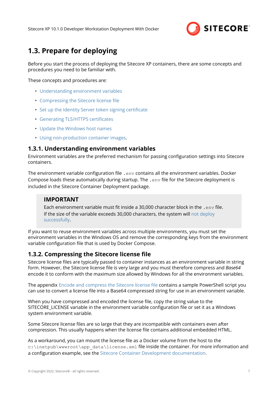

# <span id="page-6-0"></span>**1.3. Prepare for deploying**

Before you start the process of deploying the Sitecore XP containers, there are some concepts and procedures you need to be familiar with.

These concepts and procedures are:

- Understanding environment variables
- Compressing the Sitecore license file
- [Set up the Identity Server token signing certificate](#page-7-0)
- [Generating TLS/HTTPS certificates](#page-7-0)
- [Update the Windows host names](#page-8-0)
- [Using non-production container images.](#page-8-0)

### **1.3.1. Understanding environment variables**

Environment variables are the preferred mechanism for passing configuration settings into Sitecore containers.

The environment variable configuration file .  $env$  contains all the environment variables. Docker Compose loads these automatically during startup. The .env file for the Sitecore deployment is included in the Sitecore Container Deployment package.

## **IMPORTANT**

Each environment variable must fit inside a 30,000 character block in the .env file. If the size of the variable exceeds 30,000 characters, the system will [not deploy](https://devblogs.microsoft.com/oldnewthing/20100203-00/?p=15083) [successfully](https://devblogs.microsoft.com/oldnewthing/20100203-00/?p=15083).

If you want to reuse environment variables across multiple environments, you must set the environment variables in the Windows OS and remove the corresponding keys from the environment variable configuration file that is used by Docker Compose.

## **1.3.2. Compressing the Sitecore license file**

Sitecore license files are typically passed to container instances as an environment variable in string form. However, the Sitecore license file is very large and you must therefore compress and *Base64* encode it to conform with the maximum size allowed by Windows for all the environment variables.

The appendix [Encode and compress the Sitecore license file](#page-13-0) contains a sample PowerShell script you can use to convert a license file into a Base64 compressed string for use in an environment variable.

When you have compressed and encoded the license file, copy the string value to the SITECORE LICENSE variable in the environment variable configuration file or set it as a Windows system environment variable.

Some Sitecore license files are so large that they are incompatible with containers even after compression. This usually happens when the license file contains additional embedded HTML.

As a workaround, you can mount the license file as a Docker volume from the host to the c:\inetpub\wwwroot\app\_data\license.xml file inside the container. For more information and a configuration example, see the [Sitecore Container Development documentation](https://doc.sitecore.com/developers/101/developer-tools/en/run-your-first-sitecore-instance.html).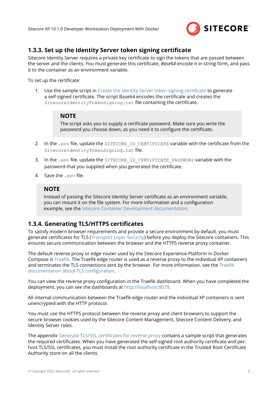

# <span id="page-7-0"></span>**1.3.3. Set up the Identity Server token signing certificate**

Sitecore Identity Server requires a private key certificate to sign the tokens that are passed between the server and the clients. You must generate this certificate, *Base64* encode it in string form, and pass it to the container as an environment variable.

To set up the certificate:

1. Use the sample script in [Create the Identity Server token signing certificate](#page-14-0) to generate a self-signed certificate. The script Base64 encodes the certificate and creates the SitecoreIdentityTokenSigning.txt file containing the certificate.

### **NOTE**

The script asks you to supply a certficate password. Make sure you write the password you choose down, as you need it to configure the certificate.

- 2. In the .env file, update the SITECORE ID CERTIFICATE variable with the certificate from the SitecoreIdentityTokenSigning.txt file.
- 3. In the .env file, update the SITECORE ID CERTIFICATE PASSWORD variable with the password that you supplied when you generated the certificate.
- 4. Save the .env file.

### **NOTE**

Instead of passing the Sitecore Identity Server certificate as an environment variable, you can mount it on the file system. For more information and a configuration example, see the [Sitecore Container Development documentation](https://doc.sitecore.com/en/developers/101/developer-tools/containers-in-sitecore-development.html).

## **1.3.4. Generating TLS/HTTPS certificates**

To satisfy modern browser requirements and provide a secure environment by default, you must generate certificates for TLS [\(Transport Layer Security](https://en.wikipedia.org/wiki/Transport_Layer_Security)) before you deploy the Sitecore containers. This ensures secure communication between the browser and the HTTPS reverse proxy container.

The default reverse proxy or edge router used by the Sitecore Experience Platform in Docker Compose is [Traefik](https://docs.traefik.io/). The Traefik edge router is used as a reverse proxy to the individual XP containers and terminates the TLS connections sent by the browser. For more information, see the [Traefik](https://docs.traefik.io/https/tls/) [documentation about TLS configuration](https://docs.traefik.io/https/tls/).

You can view the reverse proxy configuration in the Traefik dashboard. When you have completed the deployment, you can see the dashboards at [http://localhost:8079.](http://localhost:8079)

All internal communication between the Traefik edge router and the individual XP containers is sent unencrypted with the HTTP protocol.

You must use the HTTPS protocol between the reverse proxy and client browsers to support the secure browser cookies used by the Sitecore Content Management, Sitecore Content Delivery, and Identity Server roles.

The appendix [Generate TLS/SSL certificates for reverse proxy](#page-14-0) contains a sample script that generates the required certificates. When you have generated the self-signed root authority certificate and perhost TLS/SSL certificates, you must install the root authority certificate in the Trusted Root Certificate Authority store on all the clients.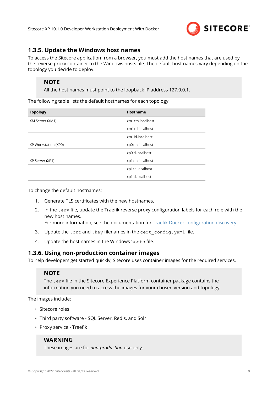

## <span id="page-8-0"></span>**1.3.5. Update the Windows host names**

To access the Sitecore application from a browser, you must add the host names that are used by the reverse proxy container to the Windows hosts file. The default host names vary depending on the topology you decide to deploy.

### **NOTE**

All the host names must point to the loopback IP address 127.0.0.1.

The following table lists the default hostnames for each topology:

| <b>Topology</b>      | Hostname        |
|----------------------|-----------------|
| XM Server (XM1)      | xm1cm.localhost |
|                      | xm1cd.localhost |
|                      | xm1id.localhost |
| XP Workstation (XP0) | xp0cm.localhost |
|                      | xp0id.localhost |
| XP Server (XP1)      | xp1cm.localhost |
|                      | xp1cd.localhost |
|                      | xp1id.localhost |

To change the default hostnames:

- 1. Generate TLS certificates with the new hostnames.
- 2. In the .env file, update the Traefik reverse proxy configuration labels for each role with the new host names.

For more information, see the documentation for [Traefik Docker configuration discovery](https://docs.traefik.io/providers/docker/).

- 3. Update the .crt and .key filenames in the cert config.yaml file.
- 4. Update the host names in the Windows hosts file.

### **1.3.6. Using non-production container images**

To help developers get started quickly, Sitecore uses container images for the required services.

### **NOTE**

The .env file in the Sitecore Experience Platform container package contains the information you need to access the images for your chosen version and topology.

The images include:

- Sitecore roles
- Third party software SQL Server, Redis, and Solr
- Proxy service Traefik

### **WARNING**

These images are for *non-production* use only.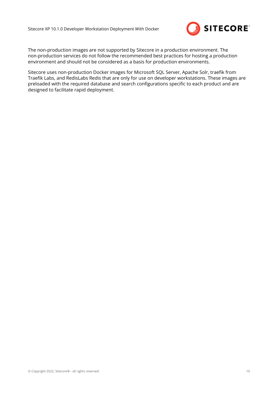

The non-production images are not supported by Sitecore in a production environment. The non-production services do not follow the recommended best practices for hosting a production environment and should not be considered as a basis for production environments.

Sitecore uses non-production Docker images for Microsoft SQL Server, Apache Solr, traefik from Traefik Labs, and RedisLabs Redis that are only for use on developer workstations. These images are preloaded with the required database and search configurations specific to each product and are designed to facilitate rapid deployment.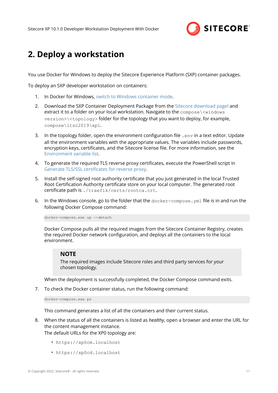

# <span id="page-10-0"></span>**2. Deploy a workstation**

You use Docker for Windows to deploy the Sitecore Experience Platform (SXP) container packages.

To deploy an SXP developer workstation on containers:

- 1. In Docker for Windows, [switch to Windows container mode](https://docs.docker.com/docker-for-windows/#switch-between-windows-and-linux-containers).
- 2. Download the SXP Container Deployment Package from the [Sitecore download pagel](https://dev.sitecore.net/Downloads/Sitecore_Experience_Platform.aspx) and extract it to a folder on your local workstation. Navigate to the compose\<windows version>\<topology> folder for the topology that you want to deploy, for example, compose\ltsc2019\xp1.
- 3. In the topology folder, open the environment configuration file  $\epsilon_{\text{env}}$  in a text editor. Update all the environment variables with the appropriate values. The variables include passwords, encryption keys, certificates, and the Sitecore license file. For more information, see the [Environment variable list.](#page-15-0)
- 4. To generate the required TLS reverse proxy certificates, execute the PowerShell script in [Generate TLS/SSL certificates for reverse proxy.](#page-14-0)
- 5. Install the self-signed root authority certificate that you just generated in the local Trusted Root Certification Authority certificate store on your local computer. The generated root certificate path is ./traefik/certs/rootca.crt.
- 6. In the Windows console, go to the folder that the docker-compose.yml file is in and run the following Docker Compose command:

docker-compose.exe up --detach

Docker Compose pulls all the required images from the Sitecore Container Registry, creates the required Docker network configuration, and deploys all the containers to the local environment.

#### **NOTE**

The required images include Sitecore roles and third party services for your chosen topology.

When the deployment is successfully completed, the Docker Compose command exits.

7. To check the Docker container status, run the following command:

docker-compose.exe ps

This command generates a list of all the containers and their current status.

- 8. When the status of all the containers is listed as *healthy*, open a browser and enter the URL for the content management instance. The default URLs for the XP0 topology are:
	- https://xp0cm.localhost
	- https://xp0cd.localhost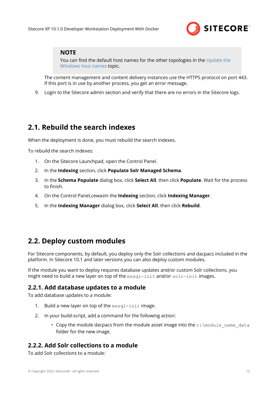

<span id="page-11-0"></span>You can find the default host names for the other topologies in the [Update the](#page-8-0) [Windows host names](#page-8-0) topic.

The content management and content delivery instances use the HTTPS protocol on port 443. If this port is in use by another process, you get an error message.

9. Login to the Sitecore admin section and verify that there are no errors in the Sitecore logs.

# **2.1. Rebuild the search indexes**

When the deployment is done, you must rebuild the search indexes.

To rebuild the search indexes:

- 1. On the Sitecore Launchpad, open the Control Panel.
- 2. In the **Indexing** section, click **Populate Solr Managed Schema**.
- 3. In the **Schema Populate** dialog box, click **Select All**, then click **Populate**. Wait for the process to finish.
- 4. On the Control Panel,cewasIn the **Indexing** section, click **Indexing Manager**.
- 5. In the **Indexing Manager** dialog box, click **Select All**, then click **Rebuild**.

# **2.2. Deploy custom modules**

For Sitecore components, by default, you deploy only the Solr collections and dacpacs included in the platform. In Sitecore 10.1 and later versions you can also deploy custom modules.

If the module you want to deploy requires database updates and/or custom Solr collections, you might need to build a new layer on top of the  $msal-init$  and/or  $solr-init$  images.

## **2.2.1. Add database updates to a module**

To add database updates to a module:

- 1. Build a new layer on top of the mssql-init image.
- 2. In your build-script, add a command for the following action:
	- Copy the module dacpacs from the module asset image into the  $c:\mod 1$  name data folder for the new image.

## **2.2.2. Add Solr collections to a module**

To add Solr collections to a module: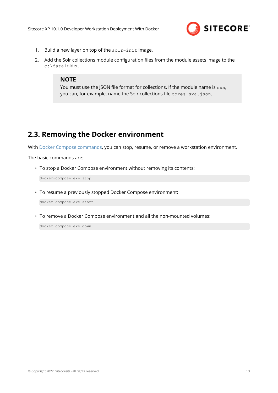

- <span id="page-12-0"></span>1. Build a new layer on top of the solr-init image.
- 2. Add the Solr collections module configuration files from the module assets image to the c:\data folder.

You must use the JSON file format for collections. If the module name is sxa, you can, for example, name the Solr collections file cores-sxa.json.

# **2.3. Removing the Docker environment**

With [Docker Compose commands](https://docs.docker.com/compose/reference/), you can stop, resume, or remove a workstation environment.

The basic commands are:

• To stop a Docker Compose environment without removing its contents:

docker-compose.exe stop

• To resume a previously stopped Docker Compose environment:

docker-compose.exe start

• To remove a Docker Compose environment and all the non-mounted volumes:

docker-compose.exe down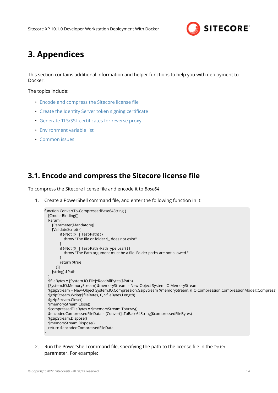

# <span id="page-13-0"></span>**3. Appendices**

This section contains additional information and helper functions to help you with deployment to Docker.

The topics include:

- Encode and compress the Sitecore license file
- [Create the Identity Server token signing certificate](#page-14-0)
- [Generate TLS/SSL certificates for reverse proxy](#page-14-0)
- [Environment variable list](#page-15-0)
- [Common issues](#page-16-0)

# **3.1. Encode and compress the Sitecore license file**

To compress the Sitecore license file and encode it to *Base64*:

1. Create a PowerShell command file, and enter the following function in it:

```
function ConvertTo-CompressedBase64String {
   [CmdletBinding()]
   Param (
     [Parameter(Mandatory)]
    [ValidateScript( {
         if (-Not ($_ | Test-Path) ) {
           throw "The file or folder $_ does not exist"
 }
         if (-Not ($_ | Test-Path -PathType Leaf) ) {
           throw "The Path argument must be a file. Folder paths are not allowed."
         }
         return $true
       })]
     [string] $Path
\rightarrow $fileBytes = [System.IO.File]::ReadAllBytes($Path)
   [System.IO.MemoryStream] $memoryStream = New-Object System.IO.MemoryStream
   $gzipStream = New-Object System.IO.Compression.GzipStream $memoryStream, ([IO.Compression.CompressionMode]::Compress)
   $gzipStream.Write($fileBytes, 0, $fileBytes.Length)
   $gzipStream.Close()
   $memoryStream.Close()
   $compressedFileBytes = $memoryStream.ToArray()
   $encodedCompressedFileData = [Convert]::ToBase64String($compressedFileBytes)
   $gzipStream.Dispose()
   $memoryStream.Dispose()
   return $encodedCompressedFileData
}
```
2. Run the PowerShell command file, specifying the path to the license file in the Path parameter. For example: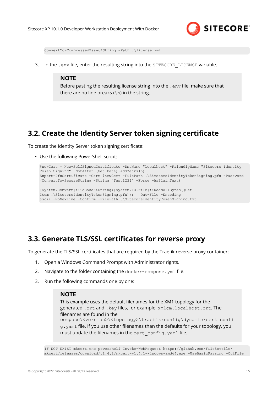

<span id="page-14-0"></span>ConvertTo-CompressedBase64String -Path .\license.xml

3. In the .env file, enter the resulting string into the SITECORE LICENSE variable.

### **NOTE**

Before pasting the resulting license string into the . env file, make sure that there are no line breaks ( $\ln$ ) in the string.

# **3.2. Create the Identity Server token signing certificate**

To create the Identity Server token signing certificate:

• Use the following PowerShell script:

```
$newCert = New-SelfSignedCertificate -DnsName "localhost" -FriendlyName "Sitecore Identity 
Token Signing" -NotAfter (Get-Date).AddYears(5)
Export-PfxCertificate -Cert $newCert -FilePath .\SitecoreIdentityTokenSigning.pfx -Password 
(ConvertTo-SecureString -String "Test123!" -Force -AsPlainText)
[System.Convert]::ToBase64String([System.IO.File]::ReadAllBytes((Get-
Item .\SitecoreIdentityTokenSigning.pfx))) | Out-File -Encoding
```

```
ascii -NoNewline -Confirm -FilePath .\SitecoreIdentityTokenSigning.txt
```
# **3.3. Generate TLS/SSL certificates for reverse proxy**

To generate the TLS/SSL certificates that are required by the Traefik reverse proxy container:

- 1. Open a Windows Command Prompt with Administrator rights.
- 2. Navigate to the folder containing the docker-compose.yml file.
- 3. Run the following commands one by one:

#### **NOTE**

This example uses the default filenames for the XM1 topology for the generated .crt and .key files, for example, xm1cm.localhost.crt. The filenames are found in the compose\<version>\<topology>\traefik\config\dynamic\cert\_confi g.yaml file. If you use other filenames than the defaults for your topology, you must update the filenames in the cert config.yaml file.

IF NOT EXIST mkcert.exe powershell Invoke-WebRequest https://github.com/FiloSottile/ mkcert/releases/download/v1.4.1/mkcert-v1.4.1-windows-amd64.exe -UseBasicParsing -OutFile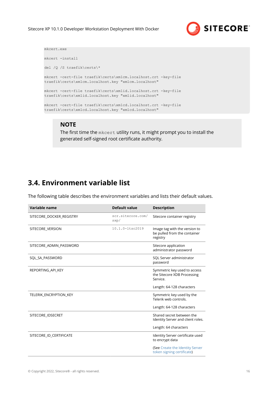

<span id="page-15-0"></span>

| mkcert.exe                                                                                                           |  |
|----------------------------------------------------------------------------------------------------------------------|--|
| mkcert -install                                                                                                      |  |
| del /Q /S traefik\certs\*                                                                                            |  |
| mkcert -cert-file traefik\certs\xmlcm.localhost.crt -key-file<br>traefik\certs\xm1cm.localhost.key "xm1cm.localhost" |  |
| mkcert -cert-file traefik\certs\xmlid.localhost.crt -key-file<br>traefik\certs\xmlid.localhost.key "xmlid.localhost" |  |
| mkcert -cert-file traefik\certs\xmlcd.localhost.crt -key-file<br>traefik\certs\xmlcd.localhost.key "xmlcd.localhost" |  |

The first time the mkcert utility runs, it might prompt you to install the generated self-signed root certificate authority.

# **3.4. Environment variable list**

The following table describes the environment variables and lists their default values.

| Variable name            | <b>Default value</b>      | <b>Description</b>                                                        |
|--------------------------|---------------------------|---------------------------------------------------------------------------|
| SITECORE DOCKER REGISTRY | scr.sitecore.com/<br>sxp/ | Sitecore container registry                                               |
| SITECORE VERSION         | 10.1.0-ltsc2019           | Image tag with the version to<br>be pulled from the container<br>registry |
| SITECORE ADMIN PASSWORD  |                           | Sitecore application<br>administrator password                            |
| SQL SA PASSWORD          |                           | SQL Server administrator<br>password                                      |
| REPORTING API KEY        |                           | Symmetric key used to access<br>the Sitecore XDB Processing<br>Service.   |
|                          |                           | Length: 64-128 characters                                                 |
| TELERIK ENCRYPTION KEY   |                           | Symmetric key used by the<br>Telerik web controls.                        |
|                          |                           | Length: 64-128 characters                                                 |
| SITECORE_IDSECRET        |                           | Shared secret between the<br>Identity Server and client roles.            |
|                          |                           | Length: 64 characters                                                     |
| SITECORE ID CERTIFICATE  |                           | Identity Server certificate used<br>to encrypt data                       |
|                          |                           | (See Create the Identity Server<br>token signing certificate)             |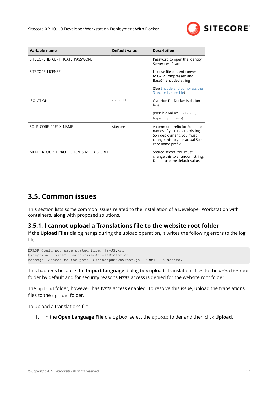

<span id="page-16-0"></span>

| Variable name                          | Default value | <b>Description</b>                                                                                                                                  |
|----------------------------------------|---------------|-----------------------------------------------------------------------------------------------------------------------------------------------------|
| SITECORE ID CERTIFICATE PASSWORD       |               | Password to open the Identity<br>Server certificate                                                                                                 |
| SITECORE_LICENSE                       |               | License file content converted<br>to GZIP Compressed and<br>Base64 encoded string                                                                   |
|                                        |               | (See Encode and compress the<br>Sitecore license file)                                                                                              |
| <b>ISOLATION</b>                       | default       | Override for Docker isolation<br>level                                                                                                              |
|                                        |               | (Possible values: default,                                                                                                                          |
|                                        |               | hyperv, process)                                                                                                                                    |
| SOLR CORE PREFIX NAME                  | sitecore      | A common prefix for Solr core<br>names. If you use an existing<br>Solr deployment, you must<br>change this to your actual Solr<br>core name prefix. |
| MEDIA REQUEST PROTECTION SHARED SECRET |               | Shared secret. You must<br>change this to a random string.<br>Do not use the default value.                                                         |

# **3.5. Common issues**

This section lists some common issues related to the installation of a Developer Workstation with containers, along with proposed solutions.

## **3.5.1. I cannot upload a Translations file to the website root folder**

If the **Upload Files** dialog hangs during the upload operation, it writes the following errors to the log file:

```
ERROR Could not save posted file: ja-JP.xml
Exception: System.UnauthorizedAccessException
Message: Access to the path 'C:\inetpub\wwwroot\ja-JP.xml' is denied.
```
This happens because the **Import language** dialog box uploads translations files to the website root folder by default and for security reasons *Write* access is denied for the website root folder.

The upload folder, however, has *Write* access enabled. To resolve this issue, upload the translations files to the upload folder.

To upload a translations file:

1. In the **Open Language File** dialog box, select the upload folder and then click **Upload**.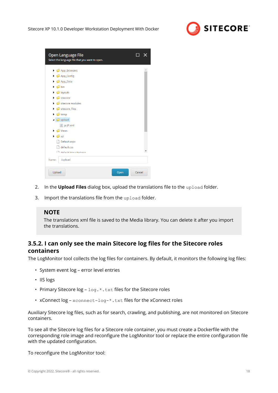

<span id="page-17-0"></span>

| Open Language File<br>Select the language file that you want to open. |      |        |
|-----------------------------------------------------------------------|------|--------|
| App_Browsers                                                          |      |        |
| $\triangleright$ $\blacksquare$ App_Config                            |      |        |
| $\triangleright$ $\blacksquare$ App_Data                              |      |        |
| $\triangleright$ $\blacksquare$ bin                                   |      |        |
| $\triangleright$ $\blacksquare$ layouts                               |      |        |
| $\triangleright$ $\blacksquare$ sitecore                              |      |        |
| $\triangleright$ $\blacksquare$ sitecore modules                      |      |        |
| $\triangleright$ $\blacksquare$ sitecore_files                        |      |        |
|                                                                       |      |        |
| $\triangleright$ $\blacksquare$ temp                                  |      |        |
| $\triangleleft$ Upload                                                |      |        |
| <sup>o</sup> a ja-JP.xml                                              |      |        |
| $\triangleright$ $\blacksquare$ Views                                 |      |        |
| $\triangleright$ $\blacksquare$ xsl                                   |      |        |
| Default.aspx                                                          |      |        |
| default.css                                                           |      |        |
| And a default htm citadown                                            |      |        |
| /upload<br>Name:                                                      |      |        |
| Upload                                                                | Open | Cancel |

- 2. In the **Upload Files** dialog box, upload the translations file to the upload folder.
- 3. Import the translations file from the upload folder.

The translations xml file is saved to the Media library. You can delete it after you import the translations.

# **3.5.2. I can only see the main Sitecore log files for the Sitecore roles containers**

The LogMonitor tool collects the log files for containers. By default, it monitors the following log files:

- System event log error level entries
- IIS logs
- Primary Sitecore  $log log + t$  txt files for the Sitecore roles
- xConnect log xconnect-log-\*.txt files for the xConnect roles

Auxiliary Sitecore log files, such as for search, crawling, and publishing, are not monitored on Sitecore containers.

To see all the Sitecore log files for a Sitecore role container, you must create a Dockerfile with the corresponding role image and reconfigure the LogMonitor tool or replace the entire configuration file with the updated configuration.

To reconfigure the LogMonitor tool: